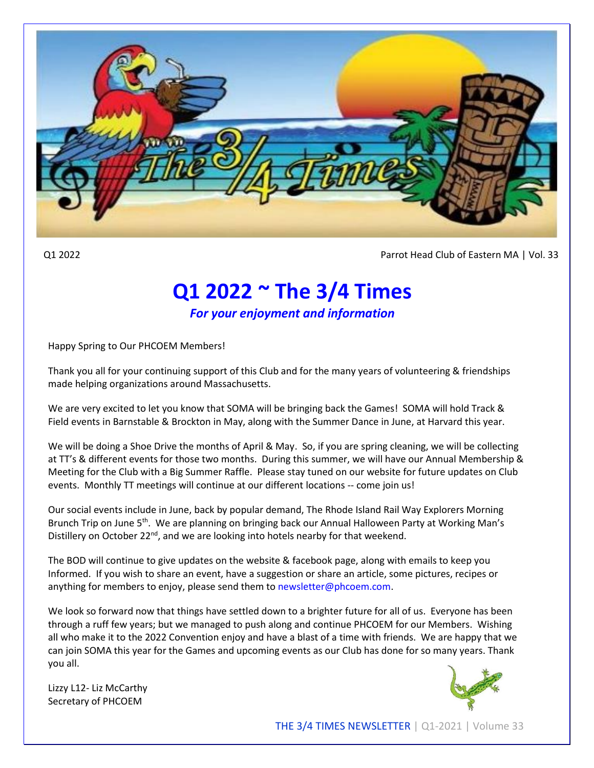

Q1 2022 Parrot Head Club of Eastern MA | Vol. 33

## **Q1 2022 ~ The 3/4 Times**

*For your enjoyment and information*

Happy Spring to Our PHCOEM Members!

Thank you all for your continuing support of this Club and for the many years of volunteering & friendships made helping organizations around Massachusetts.

We are very excited to let you know that SOMA will be bringing back the Games! SOMA will hold Track & Field events in Barnstable & Brockton in May, along with the Summer Dance in June, at Harvard this year.

We will be doing a Shoe Drive the months of April & May. So, if you are spring cleaning, we will be collecting at TT's & different events for those two months. During this summer, we will have our Annual Membership & Meeting for the Club with a Big Summer Raffle. Please stay tuned on our website for future updates on Club events. Monthly TT meetings will continue at our different locations -- come join us!

Our social events include in June, back by popular demand, The Rhode Island Rail Way Explorers Morning Brunch Trip on June 5<sup>th</sup>. We are planning on bringing back our Annual Halloween Party at Working Man's Distillery on October  $22^{nd}$ , and we are looking into hotels nearby for that weekend.

The BOD will continue to give updates on the website & facebook page, along with emails to keep you Informed. If you wish to share an event, have a suggestion or share an article, some pictures, recipes or anything for members to enjoy, please send them to newsletter@phcoem.com.

We look so forward now that things have settled down to a brighter future for all of us. Everyone has been through a ruff few years; but we managed to push along and continue PHCOEM for our Members. Wishing all who make it to the 2022 Convention enjoy and have a blast of a time with friends. We are happy that we can join SOMA this year for the Games and upcoming events as our Club has done for so many years. Thank you all.

Lizzy L12- Liz McCarthy Secretary of PHCOEM



THE 3/4 TIMES NEWSLETTER | Q1-2021 | Volume 33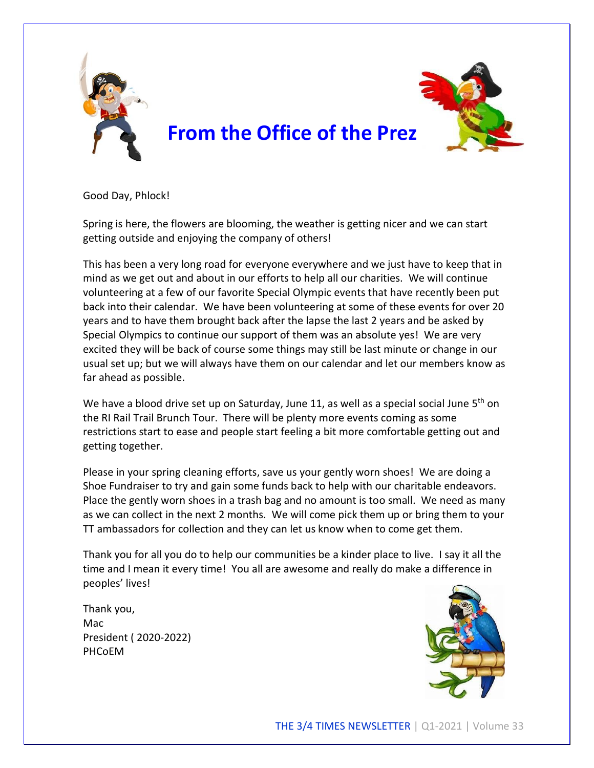

Good Day, Phlock!

Spring is here, the flowers are blooming, the weather is getting nicer and we can start getting outside and enjoying the company of others!

This has been a very long road for everyone everywhere and we just have to keep that in mind as we get out and about in our efforts to help all our charities. We will continue volunteering at a few of our favorite Special Olympic events that have recently been put back into their calendar. We have been volunteering at some of these events for over 20 years and to have them brought back after the lapse the last 2 years and be asked by Special Olympics to continue our support of them was an absolute yes! We are very excited they will be back of course some things may still be last minute or change in our usual set up; but we will always have them on our calendar and let our members know as far ahead as possible.

We have a blood drive set up on Saturday, June 11, as well as a special social June 5<sup>th</sup> on the RI Rail Trail Brunch Tour. There will be plenty more events coming as some restrictions start to ease and people start feeling a bit more comfortable getting out and getting together.

Please in your spring cleaning efforts, save us your gently worn shoes! We are doing a Shoe Fundraiser to try and gain some funds back to help with our charitable endeavors. Place the gently worn shoes in a trash bag and no amount is too small. We need as many as we can collect in the next 2 months. We will come pick them up or bring them to your TT ambassadors for collection and they can let us know when to come get them.

Thank you for all you do to help our communities be a kinder place to live. I say it all the time and I mean it every time! You all are awesome and really do make a difference in peoples' lives!

Thank you, Mac President ( 2020-2022) PHCoEM

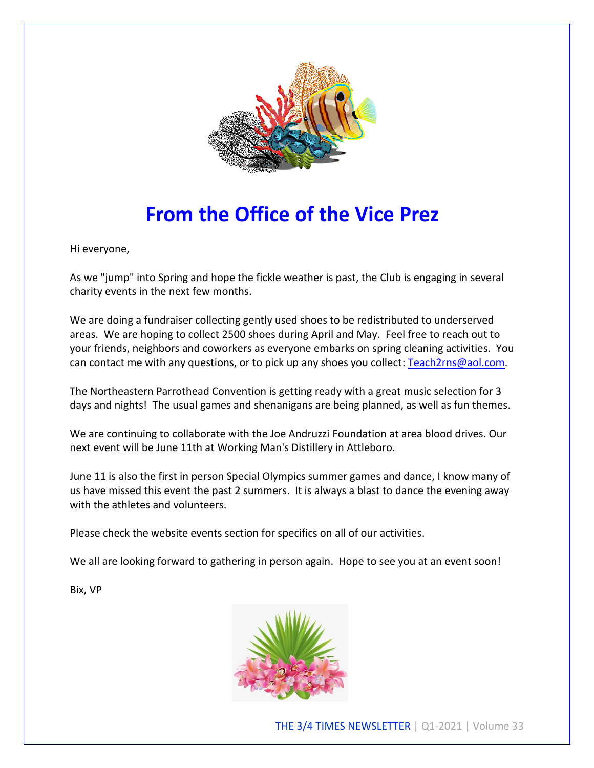

# **From the Office of the Vice Prez**

Hi everyone,

As we "jump" into Spring and hope the fickle weather is past, the Club is engaging in several charity events in the next few months.

We are doing a fundraiser collecting gently used shoes to be redistributed to underserved areas. We are hoping to collect 2500 shoes during April and May. Feel free to reach out to your friends, neighbors and coworkers as everyone embarks on spring cleaning activities. You can contact me with any questions, or to pick up any shoes you collect: [Teach2rns@aol.com.](mailto:Teach2rns@aol.com)

The Northeastern Parrothead Convention is getting ready with a great music selection for 3 days and nights! The usual games and shenanigans are being planned, as well as fun themes.

We are continuing to collaborate with the Joe Andruzzi Foundation at area blood drives. Our next event will be June 11th at Working Man's Distillery in Attleboro.

June 11 is also the first in person Special Olympics summer games and dance, I know many of us have missed this event the past 2 summers. It is always a blast to dance the evening away with the athletes and volunteers.

Please check the website events section for specifics on all of our activities.

We all are looking forward to gathering in person again. Hope to see you at an event soon!

Bix, VP



THE 3/4 TIMES NEWSLETTER | Q1-2021 | Volume 33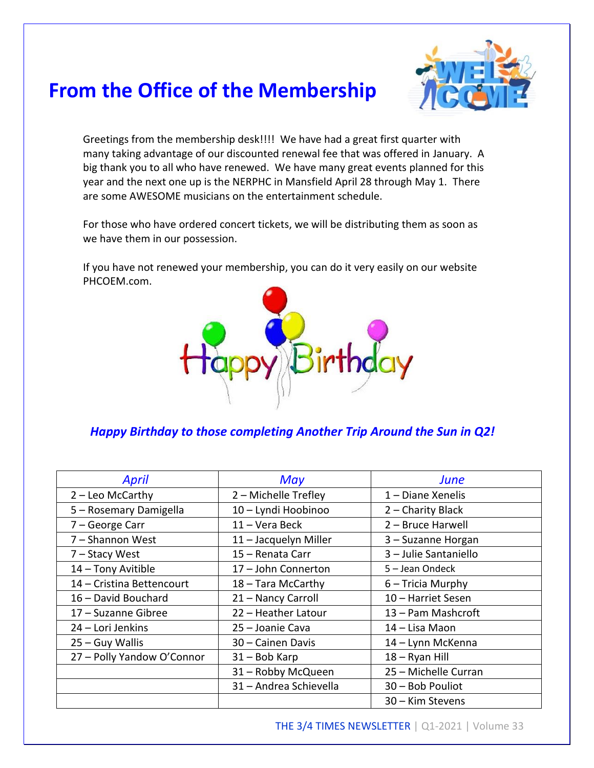## **From the Office of the Membership**



Greetings from the membership desk!!!! We have had a great first quarter with many taking advantage of our discounted renewal fee that was offered in January. A big thank you to all who have renewed. We have many great events planned for this year and the next one up is the NERPHC in Mansfield April 28 through May 1. There are some AWESOME musicians on the entertainment schedule.

For those who have ordered concert tickets, we will be distributing them as soon as we have them in our possession.

If you have not renewed your membership, you can do it very easily on our website PHCOEM.com.



#### *Happy Birthday to those completing Another Trip Around the Sun in Q2!*

| April                      | May                    | June                  |
|----------------------------|------------------------|-----------------------|
| $2 -$ Leo McCarthy         | 2 - Michelle Trefley   | 1 – Diane Xenelis     |
| 5 - Rosemary Damigella     | 10 - Lyndi Hoobinoo    | 2 - Charity Black     |
| 7 - George Carr            | 11 - Vera Beck         | 2 - Bruce Harwell     |
| 7 - Shannon West           | 11 - Jacquelyn Miller  | 3 - Suzanne Horgan    |
| 7 - Stacy West             | 15 - Renata Carr       | 3 - Julie Santaniello |
| 14 - Tony Avitible         | 17 - John Connerton    | 5 - Jean Ondeck       |
| 14 - Cristina Bettencourt  | 18 - Tara McCarthy     | $6$ – Tricia Murphy   |
| 16 - David Bouchard        | 21 - Nancy Carroll     | 10 - Harriet Sesen    |
| 17 - Suzanne Gibree        | 22 - Heather Latour    | 13 - Pam Mashcroft    |
| 24 – Lori Jenkins          | 25 – Joanie Cava       | 14 – Lisa Maon        |
| $25 - Guy Wallis$          | 30 - Cainen Davis      | 14 - Lynn McKenna     |
| 27 - Polly Yandow O'Connor | 31 - Bob Karp          | 18 - Ryan Hill        |
|                            | 31 - Robby McQueen     | 25 - Michelle Curran  |
|                            | 31 - Andrea Schievella | 30 - Bob Pouliot      |
|                            |                        | 30 – Kim Stevens      |

THE 3/4 TIMES NEWSLETTER | Q1-2021 | Volume 33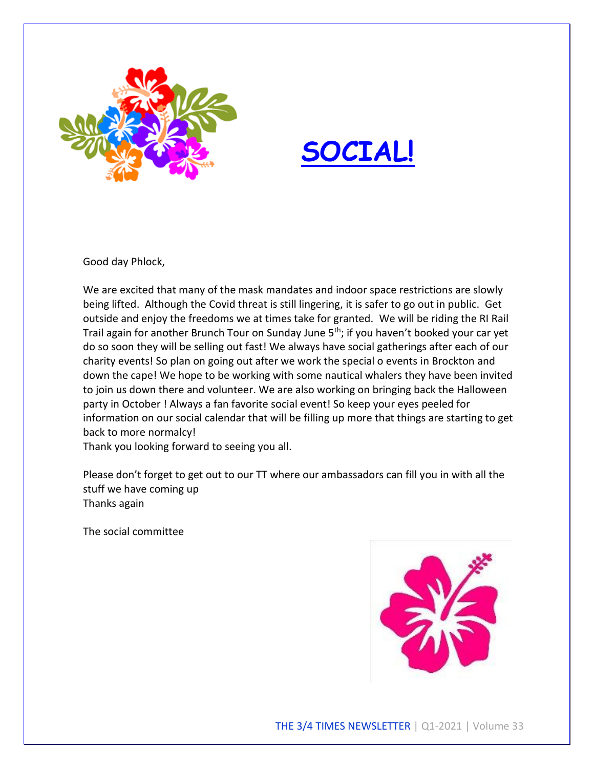



Good day Phlock,

We are excited that many of the mask mandates and indoor space restrictions are slowly being lifted. Although the Covid threat is still lingering, it is safer to go out in public. Get outside and enjoy the freedoms we at times take for granted. We will be riding the RI Rail Trail again for another Brunch Tour on Sunday June 5<sup>th</sup>; if you haven't booked your car yet do so soon they will be selling out fast! We always have social gatherings after each of our charity events! So plan on going out after we work the special o events in Brockton and down the cape! We hope to be working with some nautical whalers they have been invited to join us down there and volunteer. We are also working on bringing back the Halloween party in October ! Always a fan favorite social event! So keep your eyes peeled for information on our social calendar that will be filling up more that things are starting to get back to more normalcy!

Thank you looking forward to seeing you all.

Please don't forget to get out to our TT where our ambassadors can fill you in with all the stuff we have coming up Thanks again

The social committee

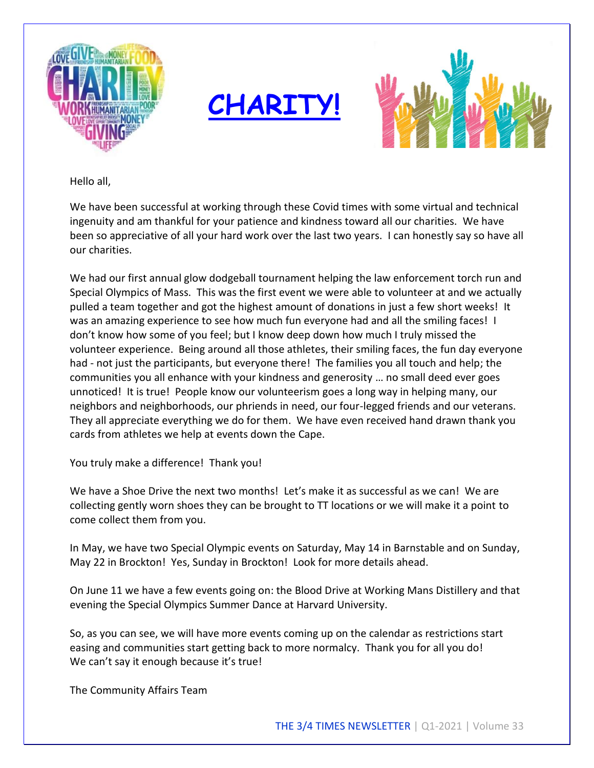





Hello all,

We have been successful at working through these Covid times with some virtual and technical ingenuity and am thankful for your patience and kindness toward all our charities. We have been so appreciative of all your hard work over the last two years. I can honestly say so have all our charities.

We had our first annual glow dodgeball tournament helping the law enforcement torch run and Special Olympics of Mass. This was the first event we were able to volunteer at and we actually pulled a team together and got the highest amount of donations in just a few short weeks! It was an amazing experience to see how much fun everyone had and all the smiling faces! I don't know how some of you feel; but I know deep down how much I truly missed the volunteer experience. Being around all those athletes, their smiling faces, the fun day everyone had - not just the participants, but everyone there! The families you all touch and help; the communities you all enhance with your kindness and generosity … no small deed ever goes unnoticed! It is true! People know our volunteerism goes a long way in helping many, our neighbors and neighborhoods, our phriends in need, our four-legged friends and our veterans. They all appreciate everything we do for them. We have even received hand drawn thank you cards from athletes we help at events down the Cape.

You truly make a difference! Thank you!

We have a Shoe Drive the next two months! Let's make it as successful as we can! We are collecting gently worn shoes they can be brought to TT locations or we will make it a point to come collect them from you.

In May, we have two Special Olympic events on Saturday, May 14 in Barnstable and on Sunday, May 22 in Brockton! Yes, Sunday in Brockton! Look for more details ahead.

On June 11 we have a few events going on: the Blood Drive at Working Mans Distillery and that evening the Special Olympics Summer Dance at Harvard University.

So, as you can see, we will have more events coming up on the calendar as restrictions start easing and communities start getting back to more normalcy. Thank you for all you do! We can't say it enough because it's true!

The Community Affairs Team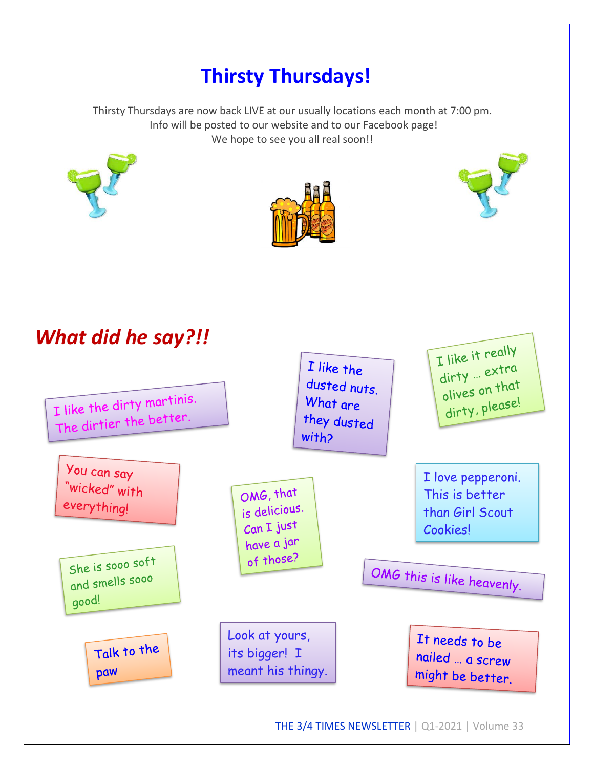## **Thirsty Thursdays!**

Thirsty Thursdays are now back LIVE at our usually locations each month at 7:00 pm. Info will be posted to our website and to our Facebook page! We hope to see you all real soon!!







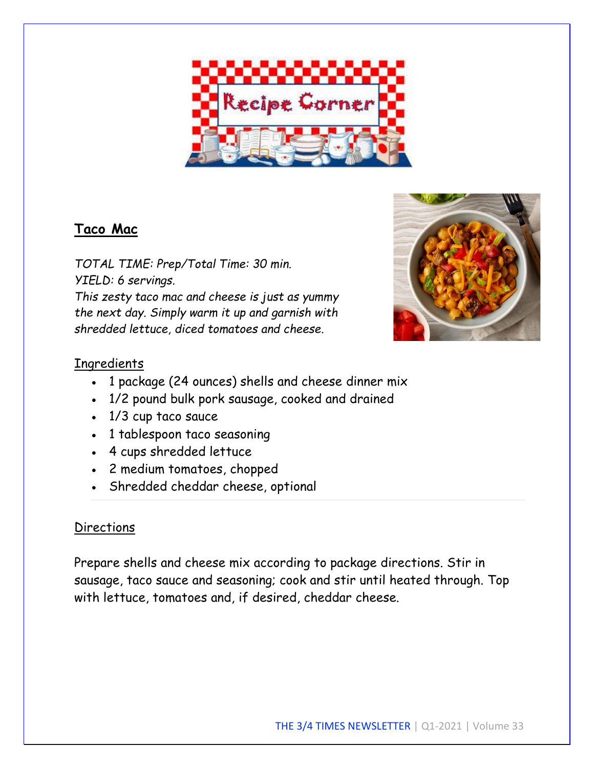

### **Taco Mac**

*TOTAL TIME: Prep/Total Time: 30 min. YIELD: 6 servings. This zesty taco mac and cheese is just as yummy the next day. Simply warm it up and garnish with shredded lettuce, diced tomatoes and cheese.*



### **Ingredients**

- 1 package (24 ounces) shells and cheese dinner mix
- 1/2 pound bulk pork sausage, cooked and drained
- 1/3 cup taco sauce
- 1 tablespoon taco seasoning
- 4 cups shredded lettuce
- 2 medium tomatoes, chopped
- Shredded cheddar cheese, optional

#### **Directions**

Prepare shells and cheese mix according to package directions. Stir in sausage, taco sauce and seasoning; cook and stir until heated through. Top with lettuce, tomatoes and, if desired, cheddar cheese.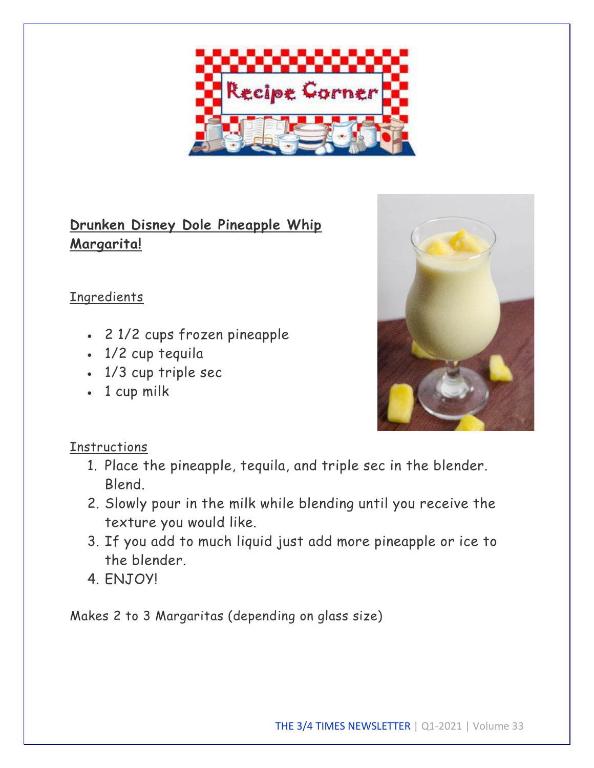

## **Drunken Disney Dole Pineapple Whip Margarita!**

### **Ingredients**

- 2 1/2 cups frozen pineapple
- 1/2 cup tequila
- 1/3 cup triple sec
- 1 cup milk



### **Instructions**

- 1. Place the pineapple, tequila, and triple sec in the blender. Blend.
- 2. Slowly pour in the milk while blending until you receive the texture you would like.
- 3. If you add to much liquid just add more pineapple or ice to the blender.
- 4. ENJOY!

Makes 2 to 3 Margaritas (depending on glass size)